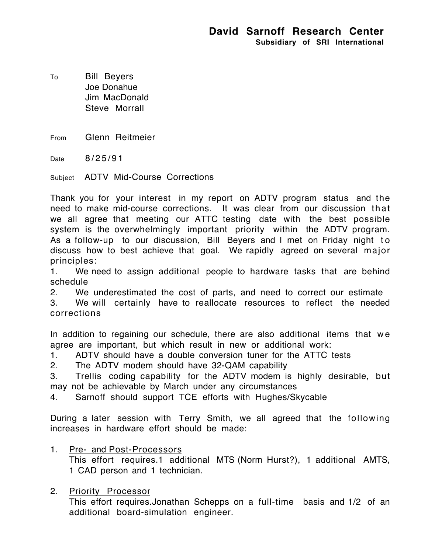To Bill Beyers Joe Donahue Jim MacDonald Steve Morrall

From Glenn Reitmeier

Date 8/25/91

Subject ADTV Mid-Course Corrections

Thank you for your interest in my report on ADTV program status and the need to make mid-course corrections. It was clear from our discussion that we all agree that meeting our ATTC testing date with the best possible system is the overwhelmingly important priority within the ADTV program. As a follow-up to our discussion, Bill Beyers and I met on Friday night to discuss how to best achieve that goal. We rapidly agreed on several major principles:

1. We need to assign additional people to hardware tasks that are behind schedule

2. We underestimated the cost of parts, and need to correct our estimate

3. We will certainly have to reallocate resources to reflect the needed corrections

In addition to regaining our schedule, there are also additional items that we agree are important, but which result in new or additional work:

1. ADTV should have a double conversion tuner for the ATTC tests

2. The ADTV modem should have 32-QAM capability

3. Trellis coding capability for the ADTV modem is highly desirable, but may not be achievable by March under any circumstances

4. Sarnoff should support TCE efforts with Hughes/Skycable

During a later session with Terry Smith, we all agreed that the following increases in hardware effort should be made:

- 1. Pre- and Post-Processors This effort requires.1 additional MTS (Norm Hurst?), 1 additional AMTS, 1 CAD person and 1 technician.
- 2. Priority Processor

This effort requires.Jonathan Schepps on a full-time basis and 1/2 of an additional board-simulation engineer.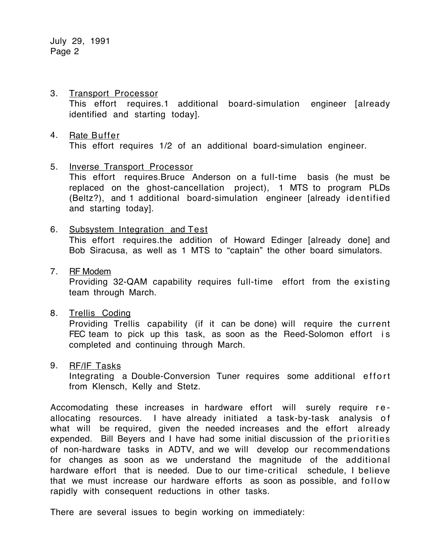July 29, 1991 Page 2

- 3. Transport Processor This effort requires.1 additional board-simulation engineer [already identified and starting today].
- 4. Rate Buffer This effort requires 1/2 of an additional board-simulation engineer.
- 5. Inverse Transport Processor

This effort requires.Bruce Anderson on a full-time basis (he must be replaced on the ghost-cancellation project), 1 MTS to program PLDs (Beltz?), and 1 additional board-simulation engineer [already identified and starting today].

- 6. Subsystem Integration and Test This effort requires.the addition of Howard Edinger [already done] and Bob Siracusa, as well as 1 MTS to "captain" the other board simulators.
- 7. RF Modem

Providing 32-QAM capability requires full-time effort from the existing team through March.

8. Trellis Coding

Providing Trellis capability (if it can be done) will require the current FEC team to pick up this task, as soon as the Reed-Solomon effort is completed and continuing through March.

9. RF/IF Tasks

Integrating a Double-Conversion Tuner requires some additional effort from Klensch, Kelly and Stetz.

Accomodating these increases in hardware effort will surely require reallocating resources. I have already initiated a task-by-task analysis of what will be required, given the needed increases and the effort already expended. Bill Beyers and I have had some initial discussion of the priorities of non-hardware tasks in ADTV, and we will develop our recommendations for changes as soon as we understand the magnitude of the additional hardware effort that is needed. Due to our time-critical schedule, I believe that we must increase our hardware efforts as soon as possible, and follow rapidly with consequent reductions in other tasks.

There are several issues to begin working on immediately: